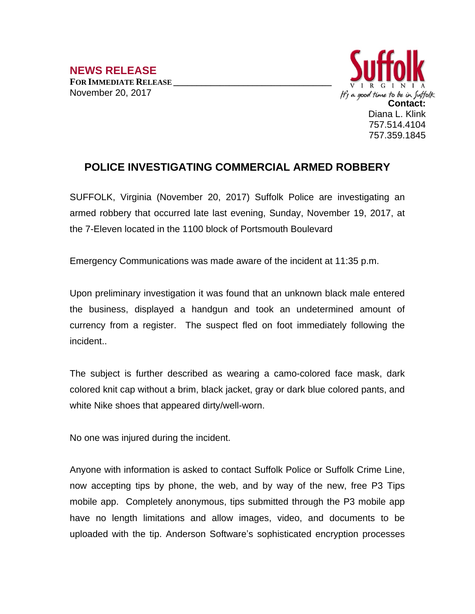

## **POLICE INVESTIGATING COMMERCIAL ARMED ROBBERY**

SUFFOLK, Virginia (November 20, 2017) Suffolk Police are investigating an armed robbery that occurred late last evening, Sunday, November 19, 2017, at the 7-Eleven located in the 1100 block of Portsmouth Boulevard

Emergency Communications was made aware of the incident at 11:35 p.m.

Upon preliminary investigation it was found that an unknown black male entered the business, displayed a handgun and took an undetermined amount of currency from a register. The suspect fled on foot immediately following the incident..

The subject is further described as wearing a camo-colored face mask, dark colored knit cap without a brim, black jacket, gray or dark blue colored pants, and white Nike shoes that appeared dirty/well-worn.

No one was injured during the incident.

Anyone with information is asked to contact Suffolk Police or Suffolk Crime Line, now accepting tips by phone, the web, and by way of the new, free P3 Tips mobile app. Completely anonymous, tips submitted through the P3 mobile app have no length limitations and allow images, video, and documents to be uploaded with the tip. Anderson Software's sophisticated encryption processes